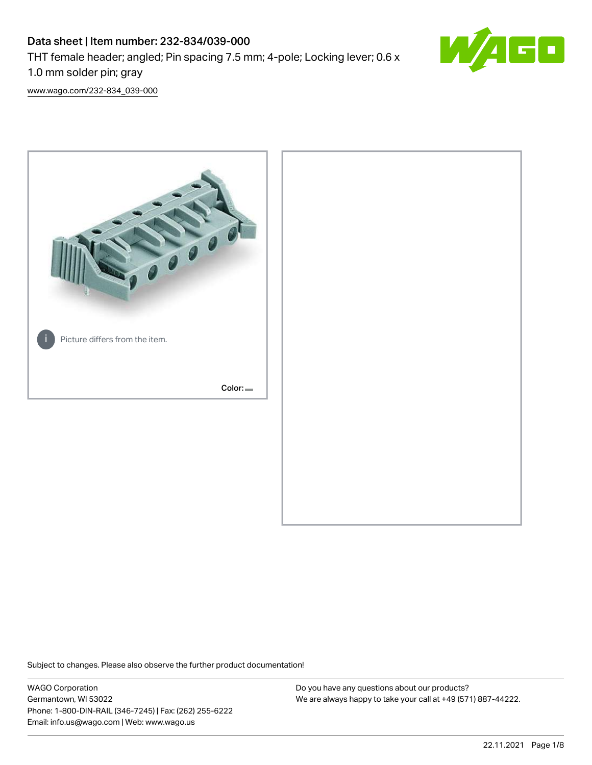# Data sheet | Item number: 232-834/039-000

THT female header; angled; Pin spacing 7.5 mm; 4-pole; Locking lever; 0.6 x

1.0 mm solder pin; gray

[www.wago.com/232-834\\_039-000](http://www.wago.com/232-834_039-000)



Subject to changes. Please also observe the further product documentation!

WAGO Corporation Germantown, WI 53022 Phone: 1-800-DIN-RAIL (346-7245) | Fax: (262) 255-6222 Email: info.us@wago.com | Web: www.wago.us

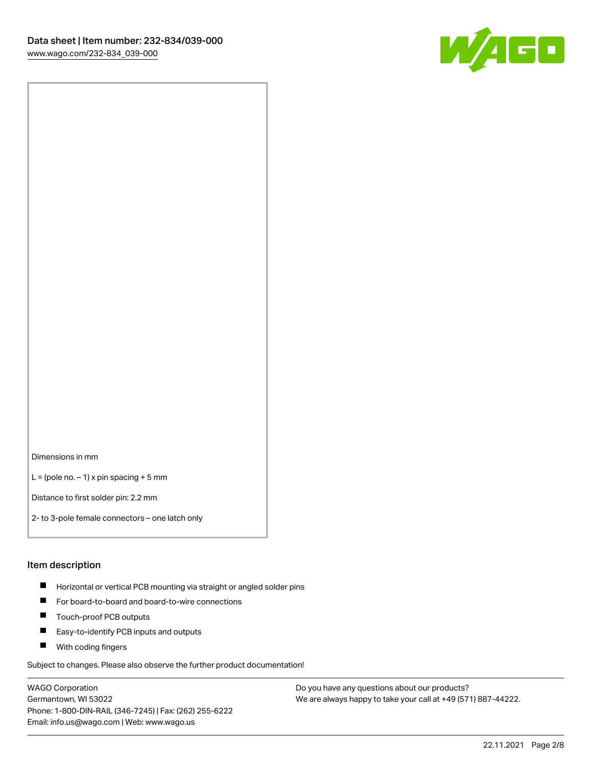

Dimensions in mm

 $L =$  (pole no.  $-1$ ) x pin spacing + 5 mm

Distance to first solder pin: 2.2 mm

2- to 3-pole female connectors – one latch only

#### Item description

- **Horizontal or vertical PCB mounting via straight or angled solder pins**
- For board-to-board and board-to-wire connections
- $\blacksquare$ Touch-proof PCB outputs
- $\blacksquare$ Easy-to-identify PCB inputs and outputs
- **Now With coding fingers**

Subject to changes. Please also observe the further product documentation!

WAGO Corporation Germantown, WI 53022 Phone: 1-800-DIN-RAIL (346-7245) | Fax: (262) 255-6222 Email: info.us@wago.com | Web: www.wago.us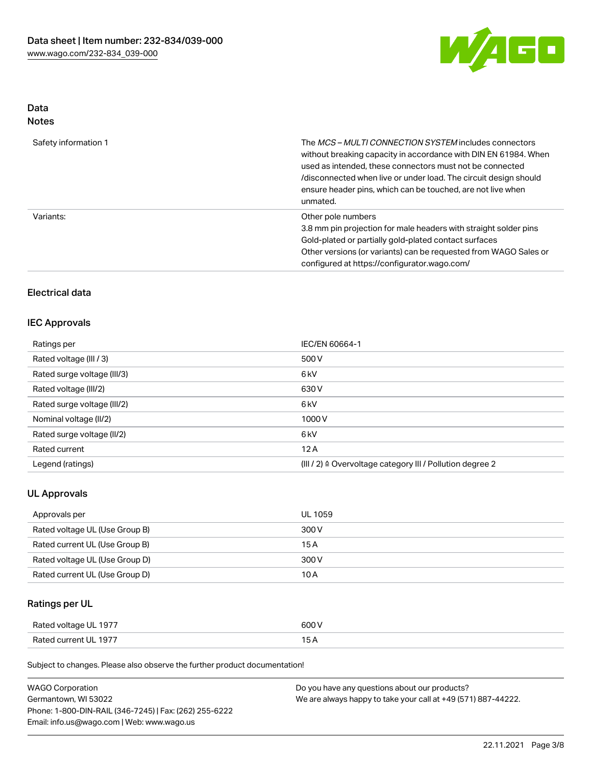

# Data

| Safety information 1 | The <i>MCS – MULTI CONNECTION SYSTEM</i> includes connectors<br>without breaking capacity in accordance with DIN EN 61984. When<br>used as intended, these connectors must not be connected<br>/disconnected when live or under load. The circuit design should<br>ensure header pins, which can be touched, are not live when<br>unmated. |
|----------------------|--------------------------------------------------------------------------------------------------------------------------------------------------------------------------------------------------------------------------------------------------------------------------------------------------------------------------------------------|
| Variants:            | Other pole numbers<br>3.8 mm pin projection for male headers with straight solder pins<br>Gold-plated or partially gold-plated contact surfaces<br>Other versions (or variants) can be requested from WAGO Sales or<br>configured at https://configurator.wago.com/                                                                        |

# Electrical data

## IEC Approvals

| Ratings per                 | IEC/EN 60664-1                                                       |
|-----------------------------|----------------------------------------------------------------------|
| Rated voltage (III / 3)     | 500 V                                                                |
| Rated surge voltage (III/3) | 6 <sub>kV</sub>                                                      |
| Rated voltage (III/2)       | 630 V                                                                |
| Rated surge voltage (III/2) | 6 <sub>kV</sub>                                                      |
| Nominal voltage (II/2)      | 1000V                                                                |
| Rated surge voltage (II/2)  | 6 <sub>kV</sub>                                                      |
| Rated current               | 12A                                                                  |
| Legend (ratings)            | (III / 2) $\triangleq$ Overvoltage category III / Pollution degree 2 |

## UL Approvals

| Approvals per                  | UL 1059 |
|--------------------------------|---------|
| Rated voltage UL (Use Group B) | 300 V   |
| Rated current UL (Use Group B) | 15 A    |
| Rated voltage UL (Use Group D) | 300 V   |
| Rated current UL (Use Group D) | 10 A    |

# Ratings per UL

| Rated voltage UL 1977 | 600 V |
|-----------------------|-------|
| Rated current UL 1977 |       |

Subject to changes. Please also observe the further product documentation!

| <b>WAGO Corporation</b>                                | Do you have any questions about our products?                 |
|--------------------------------------------------------|---------------------------------------------------------------|
| Germantown, WI 53022                                   | We are always happy to take your call at +49 (571) 887-44222. |
| Phone: 1-800-DIN-RAIL (346-7245)   Fax: (262) 255-6222 |                                                               |
| Email: info.us@wago.com   Web: www.wago.us             |                                                               |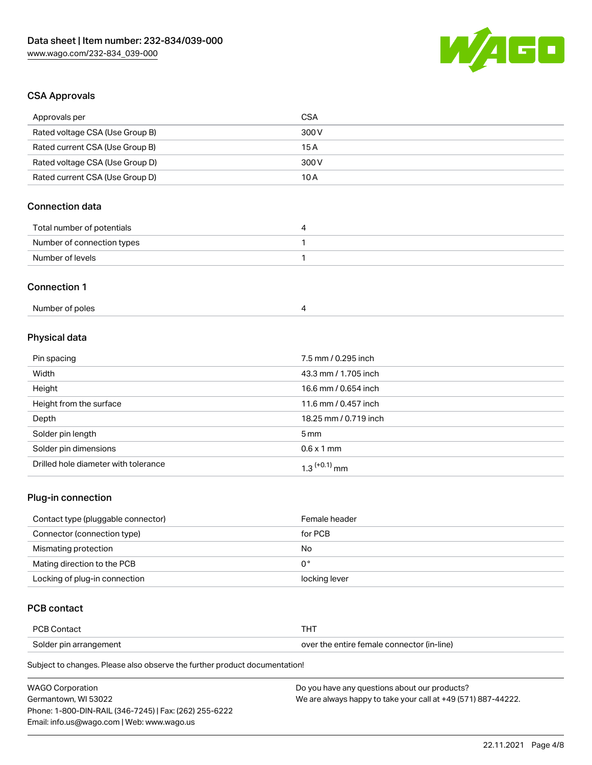

# CSA Approvals

| Approvals per                   | <b>CSA</b>            |  |
|---------------------------------|-----------------------|--|
| Rated voltage CSA (Use Group B) | 300V                  |  |
| Rated current CSA (Use Group B) | 15A                   |  |
| Rated voltage CSA (Use Group D) | 300V                  |  |
| Rated current CSA (Use Group D) | 10A                   |  |
| <b>Connection data</b>          |                       |  |
| Total number of potentials      | 4                     |  |
| Number of connection types      | 1                     |  |
| Number of levels                | $\mathbf{1}$          |  |
| <b>Connection 1</b>             |                       |  |
| Number of poles                 | $\overline{4}$        |  |
| Physical data                   |                       |  |
| Pin spacing                     | 7.5 mm / 0.295 inch   |  |
| Width                           | 43.3 mm / 1.705 inch  |  |
| Height                          | 16.6 mm / 0.654 inch  |  |
| Height from the surface         | 11.6 mm / 0.457 inch  |  |
| Depth                           | 18.25 mm / 0.719 inch |  |
| Solder pin length               | 5 <sub>mm</sub>       |  |
| Solder pin dimensions           | $0.6 \times 1$ mm     |  |

## Plug-in connection

| Contact type (pluggable connector) | Female header |
|------------------------------------|---------------|
| Connector (connection type)        | for PCB       |
| Mismating protection               | No            |
| Mating direction to the PCB        | 0°            |
| Locking of plug-in connection      | locking lever |

## PCB contact

| <b>PCB Contact</b>     |                                            |
|------------------------|--------------------------------------------|
| Solder pin arrangement | over the entire female connector (in-line) |

Subject to changes. Please also observe the further product documentation!

Drilled hole diameter with tolerance  $1.3$   $(+0.1)$  mm

| WAGO Corporation                                       | Do you have any questions about our products?                 |
|--------------------------------------------------------|---------------------------------------------------------------|
| Germantown. WI 53022                                   | We are always happy to take your call at +49 (571) 887-44222. |
| Phone: 1-800-DIN-RAIL (346-7245)   Fax: (262) 255-6222 |                                                               |
| Email: info.us@wago.com   Web: www.wago.us             |                                                               |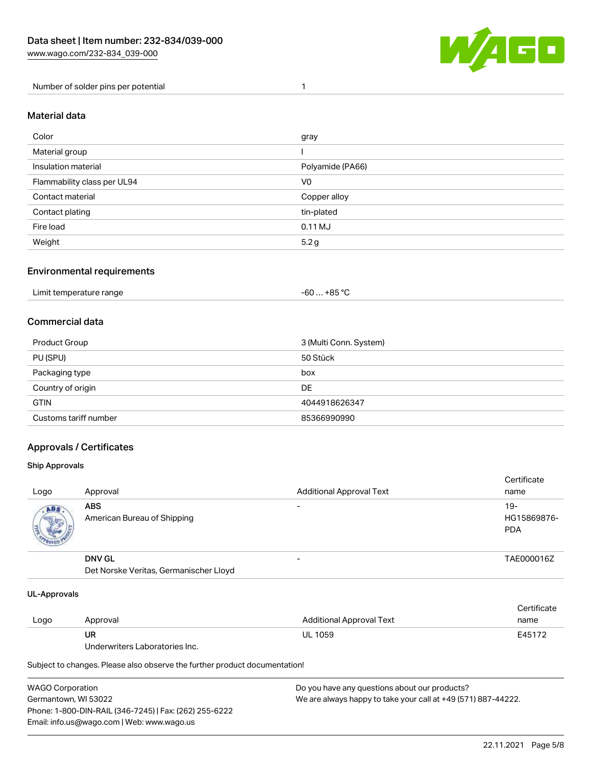

Number of solder pins per potential 1

### Material data

| Color                       | gray             |
|-----------------------------|------------------|
| Material group              |                  |
| Insulation material         | Polyamide (PA66) |
| Flammability class per UL94 | V <sub>0</sub>   |
| Contact material            | Copper alloy     |
| Contact plating             | tin-plated       |
| Fire load                   | $0.11$ MJ        |
| Weight                      | 5.2 g            |

## Environmental requirements

| Limit temperature range<br>. | . +85 °C<br>-60 |  |
|------------------------------|-----------------|--|
|------------------------------|-----------------|--|

## Commercial data

| Product Group         | 3 (Multi Conn. System) |
|-----------------------|------------------------|
| PU (SPU)              | 50 Stück               |
| Packaging type        | box                    |
| Country of origin     | DE                     |
| <b>GTIN</b>           | 4044918626347          |
| Customs tariff number | 85366990990            |

## Approvals / Certificates

#### Ship Approvals

| Logo | Approval                                                | <b>Additional Approval Text</b> | Certificate<br>name                |
|------|---------------------------------------------------------|---------------------------------|------------------------------------|
| ABS  | <b>ABS</b><br>American Bureau of Shipping               | -                               | $19-$<br>HG15869876-<br><b>PDA</b> |
|      | <b>DNV GL</b><br>Det Norske Veritas, Germanischer Lloyd | $\overline{\phantom{0}}$        | TAE000016Z                         |

#### UL-Approvals

| Logo | Approval                       | Additional Approval Text | Certificate<br>name |
|------|--------------------------------|--------------------------|---------------------|
|      | UR                             | <b>UL 1059</b>           | E45172              |
|      | Underwriters Laboratories Inc. |                          |                     |

Subject to changes. Please also observe the further product documentation!

| <b>WAGO Corporation</b>                                | Do you have any questions about our products?                 |
|--------------------------------------------------------|---------------------------------------------------------------|
| Germantown, WI 53022                                   | We are always happy to take your call at +49 (571) 887-44222. |
| Phone: 1-800-DIN-RAIL (346-7245)   Fax: (262) 255-6222 |                                                               |
| Email: info.us@wago.com   Web: www.wago.us             |                                                               |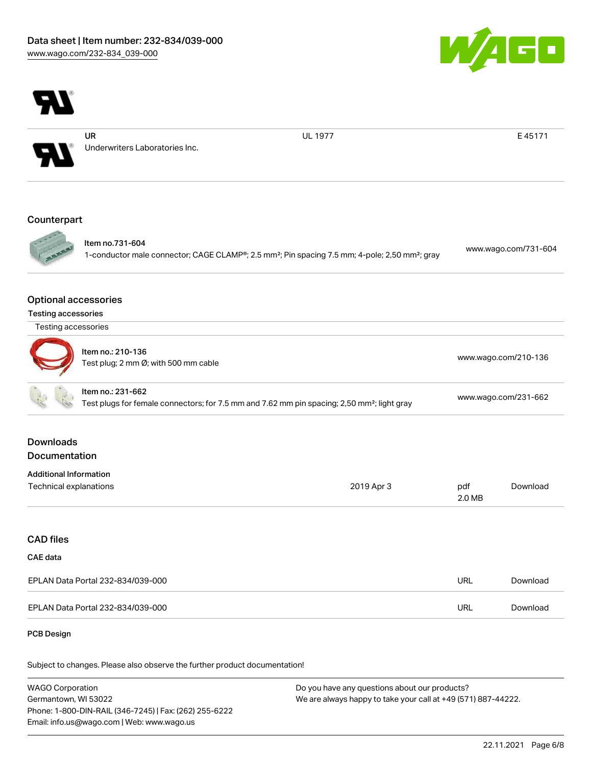

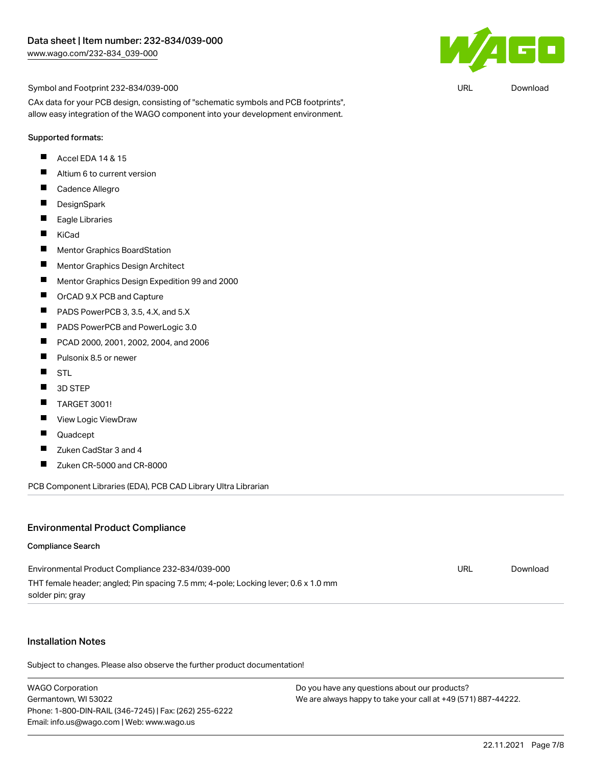

URL [Download](https://www.wago.com/global/d/UltraLibrarian_URLS_232-834_039-000)

Symbol and Footprint 232-834/039-000

CAx data for your PCB design, consisting of "schematic symbols and PCB footprints", allow easy integration of the WAGO component into your development environment.

#### Supported formats:

- П Accel EDA 14 & 15
- $\blacksquare$ Altium 6 to current version
- $\blacksquare$ Cadence Allegro
- $\blacksquare$ **DesignSpark**
- $\blacksquare$ Eagle Libraries
- $\blacksquare$ KiCad
- $\blacksquare$ Mentor Graphics BoardStation
- $\blacksquare$ Mentor Graphics Design Architect
- $\blacksquare$ Mentor Graphics Design Expedition 99 and 2000
- $\blacksquare$ OrCAD 9.X PCB and Capture
- П PADS PowerPCB 3, 3.5, 4.X, and 5.X
- $\blacksquare$ PADS PowerPCB and PowerLogic 3.0
- $\blacksquare$ PCAD 2000, 2001, 2002, 2004, and 2006
- $\blacksquare$ Pulsonix 8.5 or newer
- $\blacksquare$ STL
- $\blacksquare$ 3D STEP
- $\blacksquare$ TARGET 3001!
- $\blacksquare$ View Logic ViewDraw
- П Quadcept
- $\blacksquare$ Zuken CadStar 3 and 4
- $\blacksquare$ Zuken CR-5000 and CR-8000

PCB Component Libraries (EDA), PCB CAD Library Ultra Librarian

#### Environmental Product Compliance

#### Compliance Search

| Environmental Product Compliance 232-834/039-000                                   | URL | Download |
|------------------------------------------------------------------------------------|-----|----------|
| THT female header; angled; Pin spacing 7.5 mm; 4-pole; Locking lever; 0.6 x 1.0 mm |     |          |
| solder pin; gray                                                                   |     |          |

#### Installation Notes

Subject to changes. Please also observe the further product documentation!

WAGO Corporation Germantown, WI 53022 Phone: 1-800-DIN-RAIL (346-7245) | Fax: (262) 255-6222 Email: info.us@wago.com | Web: www.wago.us